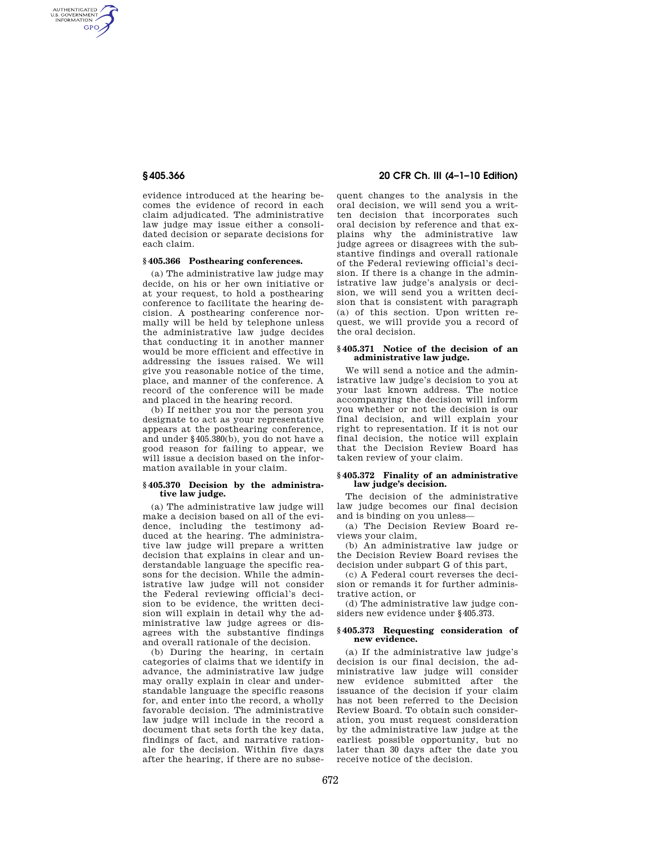AUTHENTICATED<br>U.S. GOVERNMENT<br>INFORMATION **GPO** 

> evidence introduced at the hearing becomes the evidence of record in each claim adjudicated. The administrative law judge may issue either a consolidated decision or separate decisions for each claim.

# **§ 405.366 Posthearing conferences.**

(a) The administrative law judge may decide, on his or her own initiative or at your request, to hold a posthearing conference to facilitate the hearing decision. A posthearing conference normally will be held by telephone unless the administrative law judge decides that conducting it in another manner would be more efficient and effective in addressing the issues raised. We will give you reasonable notice of the time, place, and manner of the conference. A record of the conference will be made and placed in the hearing record.

(b) If neither you nor the person you designate to act as your representative appears at the posthearing conference, and under §405.380(b), you do not have a good reason for failing to appear, we will issue a decision based on the information available in your claim.

## **§ 405.370 Decision by the administrative law judge.**

(a) The administrative law judge will make a decision based on all of the evidence, including the testimony adduced at the hearing. The administrative law judge will prepare a written decision that explains in clear and understandable language the specific reasons for the decision. While the administrative law judge will not consider the Federal reviewing official's decision to be evidence, the written decision will explain in detail why the administrative law judge agrees or disagrees with the substantive findings and overall rationale of the decision.

(b) During the hearing, in certain categories of claims that we identify in advance, the administrative law judge may orally explain in clear and understandable language the specific reasons for, and enter into the record, a wholly favorable decision. The administrative law judge will include in the record a document that sets forth the key data, findings of fact, and narrative rationale for the decision. Within five days after the hearing, if there are no subse-

# **§ 405.366 20 CFR Ch. III (4–1–10 Edition)**

quent changes to the analysis in the oral decision, we will send you a written decision that incorporates such oral decision by reference and that explains why the administrative law judge agrees or disagrees with the substantive findings and overall rationale of the Federal reviewing official's decision. If there is a change in the administrative law judge's analysis or decision, we will send you a written decision that is consistent with paragraph (a) of this section. Upon written request, we will provide you a record of the oral decision.

# **§ 405.371 Notice of the decision of an administrative law judge.**

We will send a notice and the administrative law judge's decision to you at your last known address. The notice accompanying the decision will inform you whether or not the decision is our final decision, and will explain your right to representation. If it is not our final decision, the notice will explain that the Decision Review Board has taken review of your claim.

#### **§ 405.372 Finality of an administrative law judge's decision.**

The decision of the administrative law judge becomes our final decision and is binding on you unless—

(a) The Decision Review Board reviews your claim,

(b) An administrative law judge or the Decision Review Board revises the decision under subpart G of this part,

(c) A Federal court reverses the decision or remands it for further administrative action, or

(d) The administrative law judge considers new evidence under §405.373.

#### **§ 405.373 Requesting consideration of new evidence.**

(a) If the administrative law judge's decision is our final decision, the administrative law judge will consider new evidence submitted after the issuance of the decision if your claim has not been referred to the Decision Review Board. To obtain such consideration, you must request consideration by the administrative law judge at the earliest possible opportunity, but no later than 30 days after the date you receive notice of the decision.